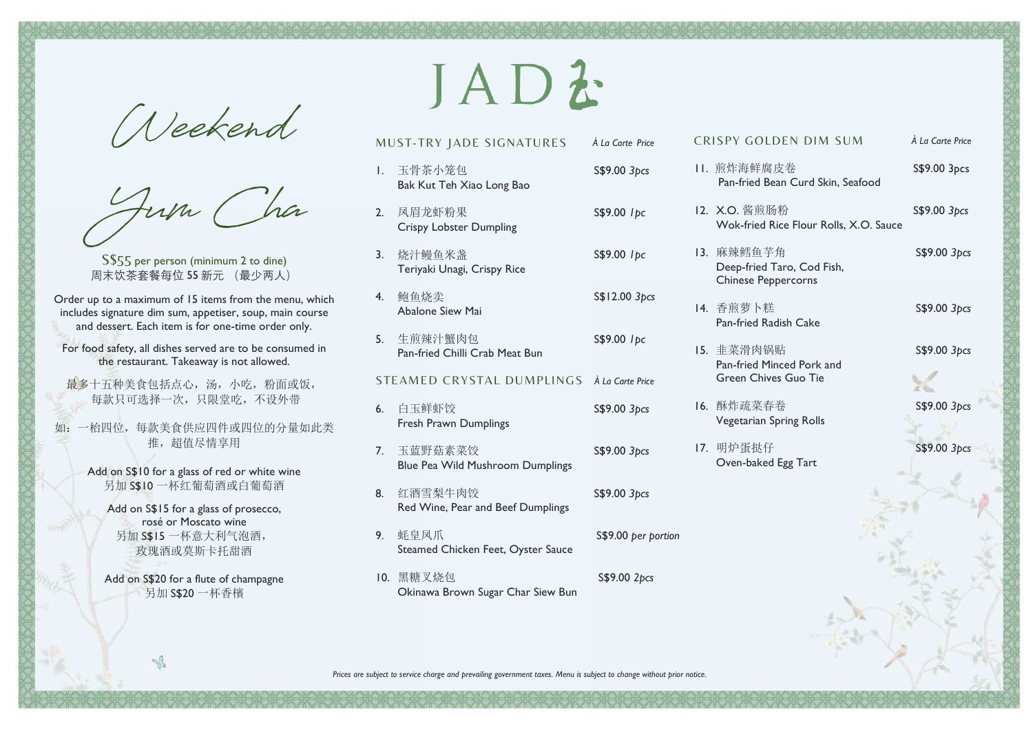**Weekend**

**Yum Cha**

S\$55 per person (minimum 2 to dine) 周末饮茶套餐每位 55 新元 (最少两人)

Order up to a maximum of 15 items from the menu, which includes signature dim sum, appetiser, soup, main course and dessert. Each item is for one-time order only.

For food safety, all dishes served are to be consumed in the restaurant. Takeaway is not allowed.

最多十五种美食包括点心,汤,小吃,粉面或饭, 每款只可选择一次,只限堂吃,不设外带

- 如:一枱四位,每款美食供应四件或四位的分量如此类 推, 超值尽情享用
	- Add on S\$10 for a glass of red or white wine 另加 S\$10 一杯红葡萄酒或白葡萄酒

Add on S\$15 for a glass of prosecco, rosé or Moscato wine 另加 S\$15 一杯意大利气泡酒, 玫瑰酒或莫斯卡托甜酒

Add on S\$20 for a flute of champagne 另加 S\$20 一杯香檳

 $\sqrt{2}$ 

## JADZ

|    | MUST-TRY JADE SIGNATURES A La Carte Price       |                     |
|----|-------------------------------------------------|---------------------|
| I. | 玉骨茶小笼包<br>Bak Kut Teh Xiao Long Bao             | S\$9.00 3pcs        |
|    | 2. 凤眉龙虾粉果<br><b>Crispy Lobster Dumpling</b>     | S\$9.00 lpc         |
|    | 3. 烧汁鳗鱼米盏<br>Teriyaki Unagi, Crispy Rice        | S\$9.00 lpc         |
| 4. | 鲍鱼烧卖<br>Abalone Siew Mai                        | S\$12.00 3pcs       |
|    | 5. 生煎辣汁蟹肉包<br>Pan-fried Chilli Crab Meat Bun    | S\$9.00 lpc         |
|    | STEAMED CRYSTAL DUMPLINGS À La Carte Price      |                     |
| 6. | 白玉鲜虾饺<br>Fresh Prawn Dumplings                  | S\$9.00 3pcs        |
| 7. | 玉蓝野菇素菜饺<br>Blue Pea Wild Mushroom Dumplings     | S\$9.00 3pcs        |
|    | 8. 红酒雪梨牛肉饺<br>Red Wine, Pear and Beef Dumplings | S\$9.00 3pcs        |
| 9. | 蚝皇凤爪<br>Steamed Chicken Feet, Oyster Sauce      | S\$9.00 per portion |

10. 黑糖叉烧包 S\$9.00 2*pcs* Okinawa Brown Sugar Char Siew Bun

| <b>CRISPY GOLDEN DIM SUM</b>                                    | À La Carte Price |  |
|-----------------------------------------------------------------|------------------|--|
| 11. 煎炸海鲜腐皮卷<br>Pan-fried Bean Curd Skin, Seafood                | S\$9.00 3pcs     |  |
| 12. X.O. 酱煎肠粉<br>Wok-fried Rice Flour Rolls, X.O. Sauce         | S\$9.00 3pcs     |  |
| 13. 麻辣鳕鱼芋角<br>Deep-fried Taro, Cod Fish,<br>Chinese Peppercorns | S\$9.00 3pcs     |  |
| 14. 香煎萝卜糕<br>Pan-fried Radish Cake                              | S\$9.00 3pcs     |  |
| 15. 韭菜滑肉锅贴<br>Pan-fried Minced Pork and<br>Green Chives Guo Tie | S\$9.00 3pcs     |  |
| 16. 酥炸疏菜春卷<br>Vegetarian Spring Rolls                           | S\$9.00 3pcs     |  |
| 17. 明炉蛋挞仔<br>Oven-baked Egg Tart                                | S\$9.00 3pcs     |  |
|                                                                 |                  |  |
|                                                                 |                  |  |

*Prices are subject to service charge and prevailing government taxes. Menu is subject to change without prior notice.*